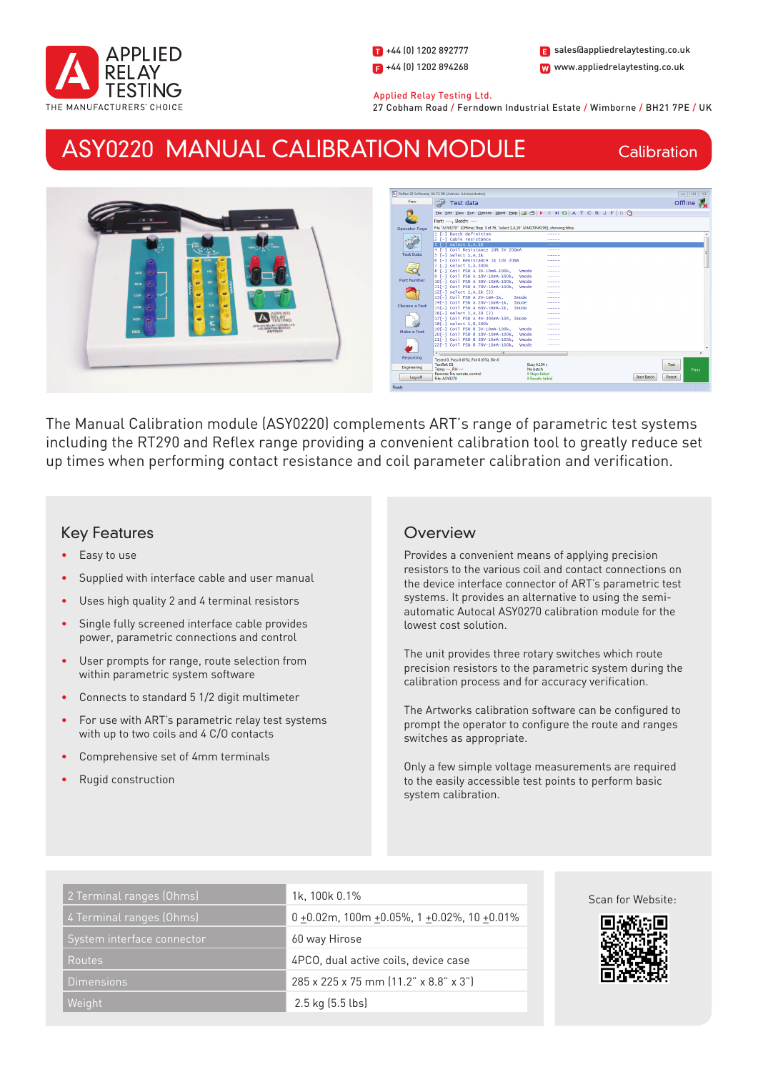

1 +44 (0) 1202 892777  $\blacksquare$  +44 (0) 1202 894268

W www.appliedrelaytesting.co.uk sales@appliedrelaytesting.co.uk

Applied Relay Testing Ltd.

27 Cobham Road / Ferndown Industrial Estate / Wimborne / BH21 7PE / UK

## ASY0220 MANUAL CALIBRATION MODULE

**Calibration** 



The Manual Calibration module (ASY0220) complements ART's range of parametric test systems including the RT290 and Reflex range providing a convenient calibration tool to greatly reduce set up times when performing contact resistance and coil parameter calibration and verification.

## Key Features

- Easy to use
- Supplied with interface cable and user manual
- Uses high quality 2 and 4 terminal resistors
- Single fully screened interface cable provides power, parametric connections and control
- User prompts for range, route selection from within parametric system software
- Connects to standard 5 1/2 digit multimeter
- For use with ART's parametric relay test systems with up to two coils and 4 C/O contacts
- Comprehensive set of 4mm terminals
- Rugid construction

## **Overview**

Provides a convenient means of applying precision resistors to the various coil and contact connections on the device interface connector of ART's parametric test systems. It provides an alternative to using the semiautomatic Autocal ASY0270 calibration module for the lowest cost solution.

The unit provides three rotary switches which route precision resistors to the parametric system during the calibration process and for accuracy verification.

The Artworks calibration software can be configured to prompt the operator to configure the route and ranges switches as appropriate.

Only a few simple voltage measurements are required to the easily accessible test points to perform basic system calibration.

| 2 Terminal ranges (Ohms)   | 1k, 100k 0.1%                                  |
|----------------------------|------------------------------------------------|
| 4 Terminal ranges (Ohms)   | $0 + 0.02$ m, 100m +0.05%, 1 +0.02%, 10 +0.01% |
| System interface connector | 60 way Hirose                                  |
| <b>Routes</b>              | 4PCO, dual active coils, device case           |
| <b>Dimensions</b>          | 285 x 225 x 75 mm (11.2" x 8.8" x 3")          |
| lWeiaht'                   | $2.5$ kg $(5.5$ lbs)                           |